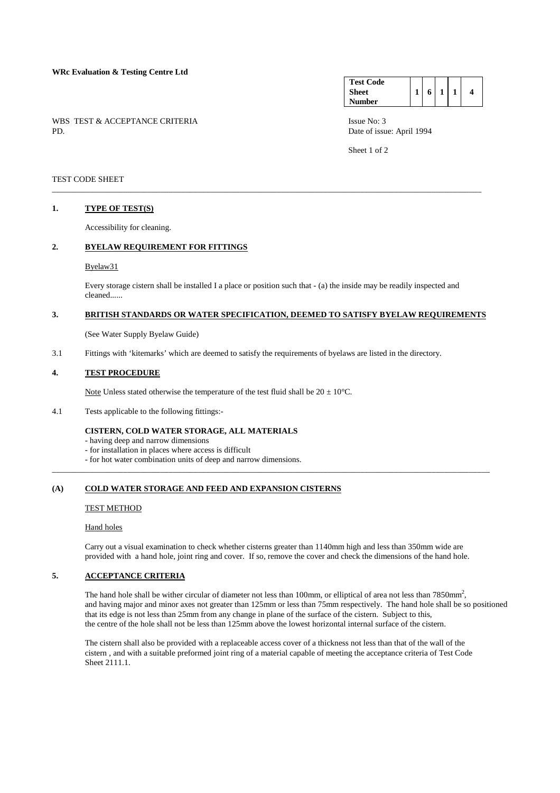WBS TEST & ACCEPTANCE CRITERIA ISSUE No: 3<br>PD Date of issue

#### **Test Code Sheet Number 1 6 1 1 4**

Date of issue: April 1994

Sheet 1 of 2

## TEST CODE SHEET

## **1. TYPE OF TEST(S)**

Accessibility for cleaning.

# **2. BYELAW REQUIREMENT FOR FITTINGS**

## Byelaw31

 Every storage cistern shall be installed I a place or position such that - (a) the inside may be readily inspected and cleaned......

\_\_\_\_\_\_\_\_\_\_\_\_\_\_\_\_\_\_\_\_\_\_\_\_\_\_\_\_\_\_\_\_\_\_\_\_\_\_\_\_\_\_\_\_\_\_\_\_\_\_\_\_\_\_\_\_\_\_\_\_\_\_\_\_\_\_\_\_\_\_\_\_\_\_\_\_\_\_\_\_\_\_\_\_\_\_\_\_\_\_\_\_\_\_\_\_\_\_\_\_\_\_\_

# **3. BRITISH STANDARDS OR WATER SPECIFICATION, DEEMED TO SATISFY BYELAW REQUIREMENTS**

(See Water Supply Byelaw Guide)

3.1 Fittings with 'kitemarks' which are deemed to satisfy the requirements of byelaws are listed in the directory.

## **4. TEST PROCEDURE**

Note Unless stated otherwise the temperature of the test fluid shall be  $20 \pm 10^{\circ}$ C.

4.1 Tests applicable to the following fittings:-

## **CISTERN, COLD WATER STORAGE, ALL MATERIALS**

- having deep and narrow dimensions
- for installation in places where access is difficult
- for hot water combination units of deep and narrow dimensions.

## **(A) COLD WATER STORAGE AND FEED AND EXPANSION CISTERNS**

#### TEST METHOD

#### Hand holes

 Carry out a visual examination to check whether cisterns greater than 1140mm high and less than 350mm wide are provided with a hand hole, joint ring and cover. If so, remove the cover and check the dimensions of the hand hole.

\_\_\_\_\_\_\_\_\_\_\_\_\_\_\_\_\_\_\_\_\_\_\_\_\_\_\_\_\_\_\_\_\_\_\_\_\_\_\_\_\_\_\_\_\_\_\_\_\_\_\_\_\_\_\_\_\_\_\_\_\_\_\_\_\_\_\_\_\_\_\_\_\_\_\_\_\_\_\_\_\_\_\_\_\_\_\_\_\_\_\_\_\_\_\_\_\_\_\_\_\_\_\_\_\_

# **5. ACCEPTANCE CRITERIA**

The hand hole shall be wither circular of diameter not less than 100mm, or elliptical of area not less than  $7850$ mm<sup>2</sup>, and having major and minor axes not greater than 125mm or less than 75mm respectively. The hand hole shall be so positioned that its edge is not less than 25mm from any change in plane of the surface of the cistern. Subject to this, the centre of the hole shall not be less than 125mm above the lowest horizontal internal surface of the cistern.

 The cistern shall also be provided with a replaceable access cover of a thickness not less than that of the wall of the cistern , and with a suitable preformed joint ring of a material capable of meeting the acceptance criteria of Test Code Sheet 2111.1.